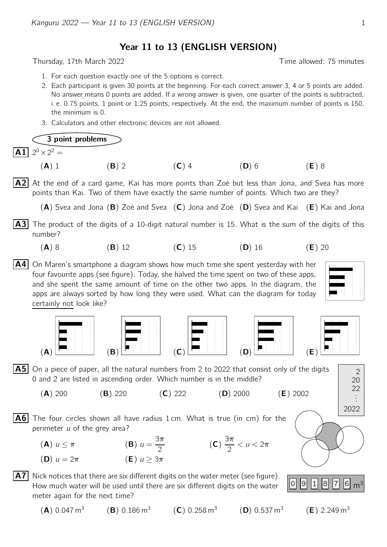Year 11 to 13 (ENGLISH VERSION)

Thursday, 17th March 2022 **Thursday**, 17th March 2022

- 1. For each question exactly one of the 5 options is correct.
- 2. Each participant is given 30 points at the beginning. For each correct answer 3, 4 or 5 points are added. No answer means 0 points are added. If a wrong answer is given, one quarter of the points is subtracted, i. e. 0.75 points, 1 point or 1.25 points, respectively. At the end, the maximum number of points is 150, the minimum is 0.
- 3. Calculators and other electronic devices are not allowed.

3 point problems **A1**  $2^0 \times 2^2 =$ (A) 1 (B) 2 (C) 4 (D) 6 (E) 8 A2 At the end of a card game, Kai has more points than Zoé but less than Jona, and Svea has more points than Kai. Two of them have exactly the same number of points. Which two are they?  $(A)$  Svea and Jona  $(B)$  Zoé and Svea  $(C)$  Jona and Zoé  $(D)$  Svea and Kai  $(E)$  Kai and Jona

- A3 The product of the digits of a 10-digit natural number is 15. What is the sum of the digits of this number?
	- (A) 8 (B) 12 (C) 15 (D) 16 (E) 20
- $\mathsf{A4}$ | On Maren's smartphone a diagram shows how much time she spent yesterday with her four favourite apps (see figure). Today, she halved the time spent on two of these apps, and she spent the same amount of time on the other two apps. In the diagram, the apps are always sorted by how long they were used. What can the diagram for today certainly not look like?



## $\overline{\textbf{A5}}$  On a piece of paper, all the natural numbers from 2 to 2022 that consist only of the digits  $\begin{array}{|c|c|c|}\hline & \overline{2} \end{array}$ 0 and 2 are listed in ascending order. Which number is in the middle?

- (A) 200 (B) 220 (C) 222 (D) 2000 (E) 2002
- 

A6 The four circles shown all have radius 1 cm. What is true (in cm) for the perimeter  $u$  of the grey area?





 $(A)$  0.047 m<sup>3</sup>

 $\overline{\text{A7}}$  Nick notices that there are six different digits on the water meter (see figure). How much water will be used until there are six different digits on the water meter again for the next time?

(B)  $0.186 \text{ m}^3$  (C)  $0.258 \text{ m}^3$ 

 $(D)$  0.537 m<sup>3</sup>





20 22 . . .





 $(E)$  2.249 m<sup>3</sup>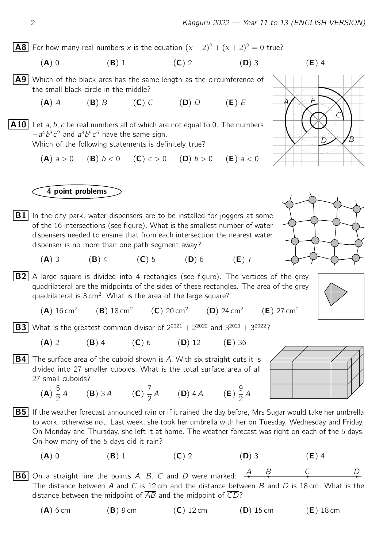**A8** For how many real numbers x is the equation  $(x - 2)^2 + (x + 2)^2 = 0$  true?

- (A) 0 (B) 1 (C) 2 (D) 3 (E) 4
- A9 Which of the black arcs has the same length as the circumference of the small black circle in the middle?
	- (A) A (B) B (C) C (D) D (E) E
- **A10** Let a, b, c be real numbers all of which are not equal to 0. The numbers  $-a^4b^3c^2$  and  $a^3b^5c^6$  have the same sign.

Which of the following statements is definitely true?

(A)  $a > 0$  (B)  $b < 0$  (C)  $c > 0$  (D)  $b > 0$  (E)  $a < 0$ 



- **B1** In the city park, water dispensers are to be installed for joggers at some of the 16 intersections (see figure). What is the smallest number of water dispensers needed to ensure that from each intersection the nearest water dispenser is no more than one path segment away?
	- (A) 3 (B) 4 (C) 5 (D) 6 (E) 7

(A)

- **B2** A large square is divided into 4 rectangles (see figure). The vertices of the grey quadrilateral are the midpoints of the sides of these rectangles. The area of the grey quadrilateral is  $3 \text{ cm}^2$ . What is the area of the large square?
	- (A)  $16 \text{ cm}^2$  (B)  $18 \text{ cm}^2$  (C)  $20 \text{ cm}^2$  (D)  $24 \text{ cm}^2$  $(E)$  27 cm<sup>2</sup>
- **B3** What is the greatest common divisor of  $2^{2021} + 2^{2022}$  and  $3^{2021} + 3^{2022}$ ?
	- (A) 2 (B) 4 (C) 6 (D) 12 (E) 36
- **B4** The surface area of the cuboid shown is A. With six straight cuts it is divided into 27 smaller cuboids. What is the total surface area of all 27 small cuboids?
	- 5 2 A (**B**) 3A (**C**)  $\frac{7}{2}$ 2 A (**D**) 4 A (**E**)  $\frac{9}{2}$ 2 A
- $|{\bf B5}|$  If the weather forecast announced rain or if it rained the day before, Mrs Sugar would take her umbrella to work, otherwise not. Last week, she took her umbrella with her on Tuesday, Wednesday and Friday. On Monday and Thursday, she left it at home. The weather forecast was right on each of the 5 days. On how many of the 5 days did it rain?
	- (A) 0 (B) 1 (C) 2 (D) 3 (E) 4
- **B6** On a straight line the points A, B, C and D were marked:  $\begin{array}{ccc} A & B & C \\ \hline \end{array}$ The distance between A and C is 12 cm and the distance between B and D is 18 cm. What is the distance between the midpoint of  $\overline{AB}$  and the midpoint of  $\overline{CD}$ ?
	- $(A)$  6 cm (B) 9 cm (C) 12 cm (D) 15 cm (E) 18 cm





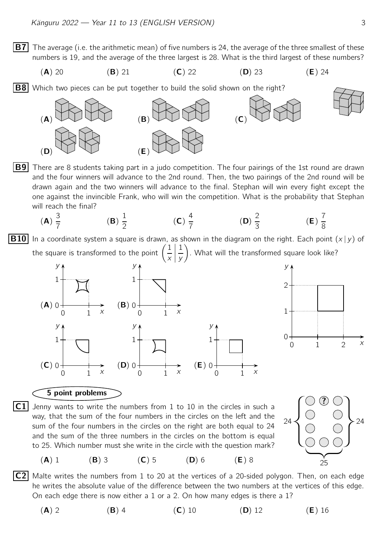- **B7** The average (i.e. the arithmetic mean) of five numbers is 24, the average of the three smallest of these numbers is 19, and the average of the three largest is 28. What is the third largest of these numbers?
	- (A) 20 (B) 21 (C) 22 (D) 23 (E) 24
- **B8** Which two pieces can be put together to build the solid shown on the right?



- **B9** There are 8 students taking part in a judo competition. The four pairings of the 1st round are drawn and the four winners will advance to the 2nd round. Then, the two pairings of the 2nd round will be drawn again and the two winners will advance to the final. Stephan will win every fight except the one against the invincible Frank, who will win the competition. What is the probability that Stephan will reach the final?
	- (A) 3 7 (B) 1 2 (C) 4 7 (D) 2 3 (E) 7 8

**B10** In a coordinate system a square is drawn, as shown in the diagram on the right. Each point  $(x|y)$  of the square is transformed to the point  $\left(\frac{1}{n}\right)$ x 1 y  $\setminus$ . What will the transformed square look like?





## 5 point problems

**C1** Jenny wants to write the numbers from 1 to 10 in the circles in such a  $\bigcirc$   $\bigcirc$  **C** way, that the sum of the four numbers in the circles on the left and the sum of the four numbers in the circles on the right are both equal to 24 and the sum of the three numbers in the circles on the bottom is equal to 25. Which number must she write in the circle with the question mark?

 $(A) 1$  (B) 3 (C) 5 (D) 6 (E) 8



**C2** Malte writes the numbers from 1 to 20 at the vertices of a 20-sided polygon. Then, on each edge he writes the absolute value of the difference between the two numbers at the vertices of this edge.

On each edge there is now either a 1 or a 2. On how many edges is there a 1?

(A) 2 (B) 4 (C) 10 (D) 12 (E) 16